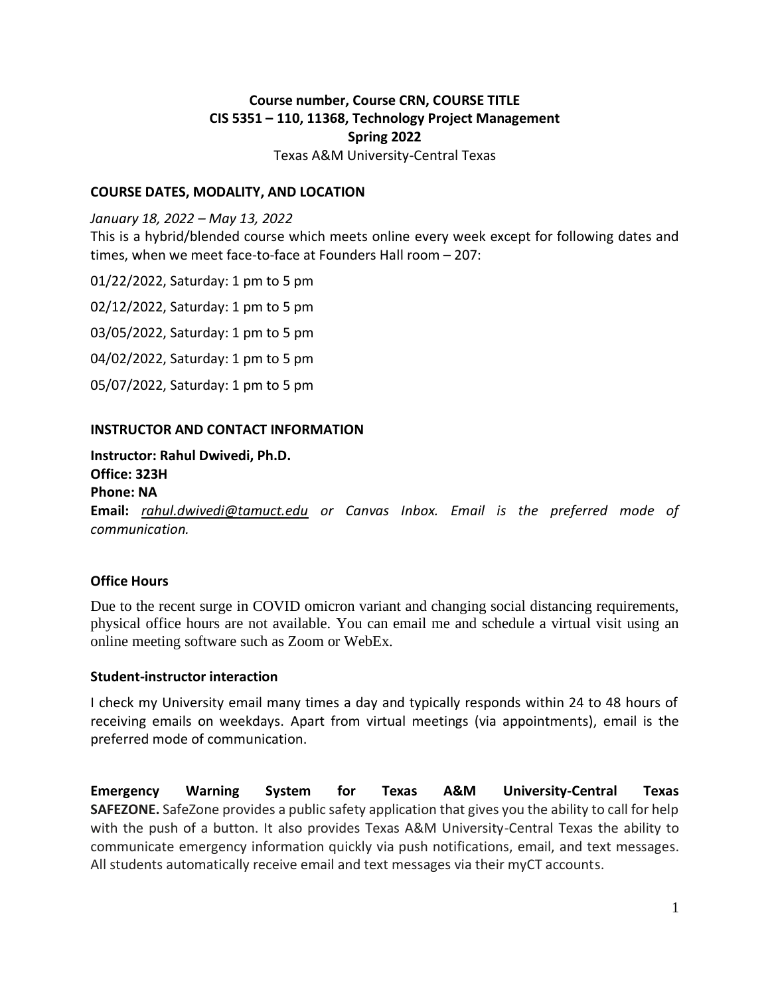# **Course number, Course CRN, COURSE TITLE CIS 5351 – 110, 11368, Technology Project Management Spring 2022**

Texas A&M University-Central Texas

#### **COURSE DATES, MODALITY, AND LOCATION**

*January 18, 2022 – May 13, 2022*

This is a hybrid/blended course which meets online every week except for following dates and times, when we meet face-to-face at Founders Hall room – 207:

01/22/2022, Saturday: 1 pm to 5 pm

02/12/2022, Saturday: 1 pm to 5 pm

03/05/2022, Saturday: 1 pm to 5 pm

04/02/2022, Saturday: 1 pm to 5 pm

05/07/2022, Saturday: 1 pm to 5 pm

#### **INSTRUCTOR AND CONTACT INFORMATION**

**Instructor: Rahul Dwivedi, Ph.D.**

**Office: 323H**

**Phone: NA**

**Email:** *[rahul.dwivedi@tamuct.edu](mailto:rahul.dwivedi@tamuct.edu) or Canvas Inbox. Email is the preferred mode of communication.*

#### **Office Hours**

Due to the recent surge in COVID omicron variant and changing social distancing requirements, physical office hours are not available. You can email me and schedule a virtual visit using an online meeting software such as Zoom or WebEx.

#### **Student-instructor interaction**

I check my University email many times a day and typically responds within 24 to 48 hours of receiving emails on weekdays. Apart from virtual meetings (via appointments), email is the preferred mode of communication.

**Emergency Warning System for Texas A&M University-Central Texas SAFEZONE.** SafeZone provides a public safety application that gives you the ability to call for help with the push of a button. It also provides Texas A&M University-Central Texas the ability to communicate emergency information quickly via push notifications, email, and text messages. All students automatically receive email and text messages via their myCT accounts.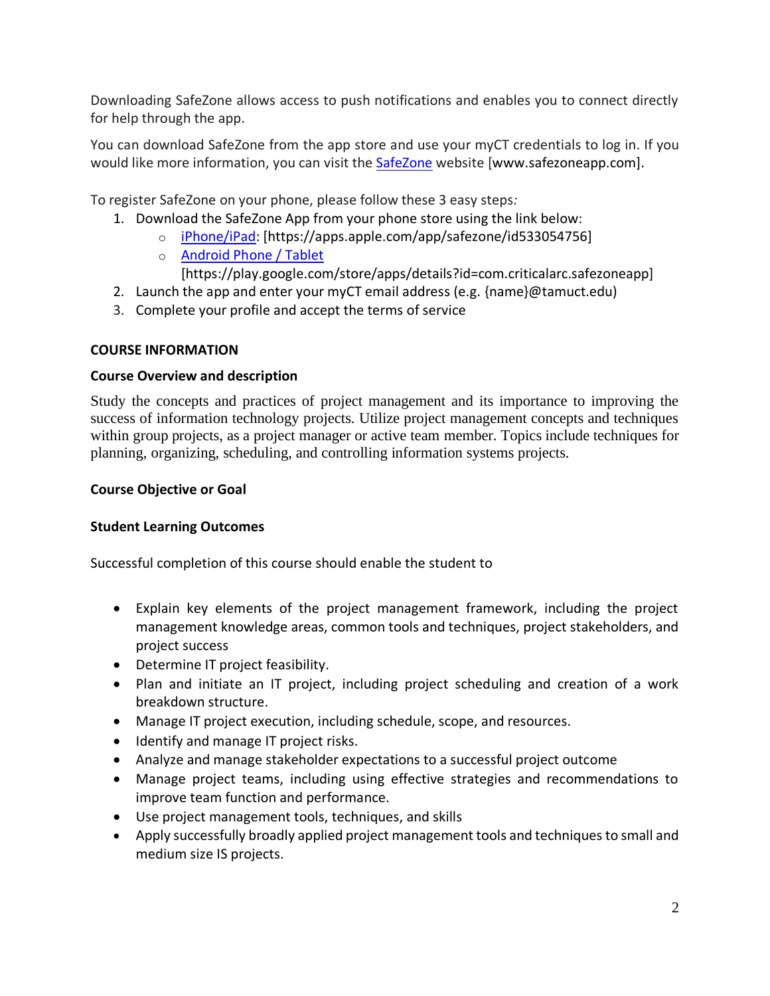Downloading SafeZone allows access to push notifications and enables you to connect directly for help through the app.

You can download SafeZone from the app store and use your myCT credentials to log in. If you would like more information, you can visit the [SafeZone](http://www.safezoneapp.com/) website [www.safezoneapp.com].

To register SafeZone on your phone, please follow these 3 easy steps*:*

- 1. Download the SafeZone App from your phone store using the link below:
	- o [iPhone/iPad:](https://apps.apple.com/app/safezone/id533054756) [https://apps.apple.com/app/safezone/id533054756]
		- o [Android Phone / Tablet](https://play.google.com/store/apps/details?id=com.criticalarc.safezoneapp)

[https://play.google.com/store/apps/details?id=com.criticalarc.safezoneapp]

- 2. Launch the app and enter your myCT email address (e.g. {name}@tamuct.edu)
- 3. Complete your profile and accept the terms of service

# **COURSE INFORMATION**

# **Course Overview and description**

Study the concepts and practices of project management and its importance to improving the success of information technology projects. Utilize project management concepts and techniques within group projects, as a project manager or active team member. Topics include techniques for planning, organizing, scheduling, and controlling information systems projects.

### **Course Objective or Goal**

# **Student Learning Outcomes**

Successful completion of this course should enable the student to

- Explain key elements of the project management framework, including the project management knowledge areas, common tools and techniques, project stakeholders, and project success
- Determine IT project feasibility.
- Plan and initiate an IT project, including project scheduling and creation of a work breakdown structure.
- Manage IT project execution, including schedule, scope, and resources.
- Identify and manage IT project risks.
- Analyze and manage stakeholder expectations to a successful project outcome
- Manage project teams, including using effective strategies and recommendations to improve team function and performance.
- Use project management tools, techniques, and skills
- Apply successfully broadly applied project management tools and techniques to small and medium size IS projects.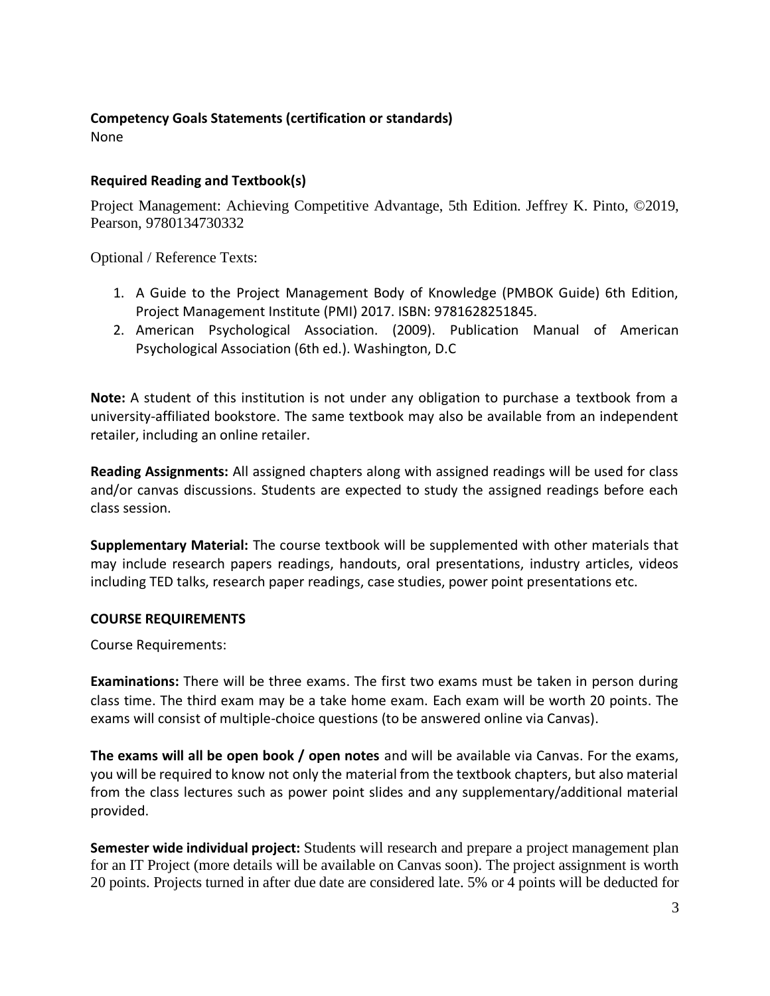# **Competency Goals Statements (certification or standards)**

None

# **Required Reading and Textbook(s)**

Project Management: Achieving Competitive Advantage, 5th Edition. Jeffrey K. Pinto, ©2019, Pearson, 9780134730332

Optional / Reference Texts:

- 1. A Guide to the Project Management Body of Knowledge (PMBOK Guide) 6th Edition, Project Management Institute (PMI) 2017. ISBN: 9781628251845.
- 2. American Psychological Association. (2009). Publication Manual of American Psychological Association (6th ed.). Washington, D.C

**Note:** A student of this institution is not under any obligation to purchase a textbook from a university-affiliated bookstore. The same textbook may also be available from an independent retailer, including an online retailer.

**Reading Assignments:** All assigned chapters along with assigned readings will be used for class and/or canvas discussions. Students are expected to study the assigned readings before each class session.

**Supplementary Material:** The course textbook will be supplemented with other materials that may include research papers readings, handouts, oral presentations, industry articles, videos including TED talks, research paper readings, case studies, power point presentations etc.

# **COURSE REQUIREMENTS**

Course Requirements:

**Examinations:** There will be three exams. The first two exams must be taken in person during class time. The third exam may be a take home exam. Each exam will be worth 20 points. The exams will consist of multiple-choice questions (to be answered online via Canvas).

**The exams will all be open book / open notes** and will be available via Canvas. For the exams, you will be required to know not only the material from the textbook chapters, but also material from the class lectures such as power point slides and any supplementary/additional material provided.

**Semester wide individual project:** Students will research and prepare a project management plan for an IT Project (more details will be available on Canvas soon). The project assignment is worth 20 points. Projects turned in after due date are considered late. 5% or 4 points will be deducted for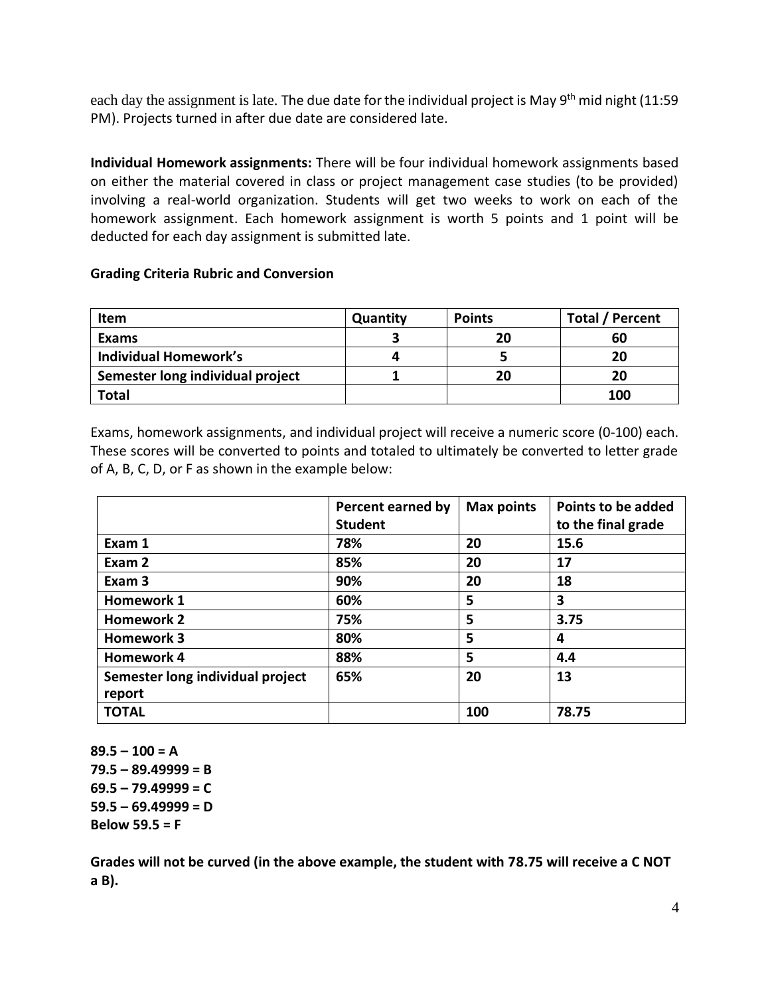each day the assignment is late. The due date for the individual project is May 9<sup>th</sup> mid night (11:59 PM). Projects turned in after due date are considered late.

**Individual Homework assignments:** There will be four individual homework assignments based on either the material covered in class or project management case studies (to be provided) involving a real-world organization. Students will get two weeks to work on each of the homework assignment. Each homework assignment is worth 5 points and 1 point will be deducted for each day assignment is submitted late.

### **Grading Criteria Rubric and Conversion**

| <b>Item</b>                      | Quantity | <b>Points</b> | <b>Total / Percent</b> |
|----------------------------------|----------|---------------|------------------------|
| Exams                            |          | 20            | 60                     |
| <b>Individual Homework's</b>     |          |               | 20                     |
| Semester long individual project |          | 20            | 20                     |
| Total                            |          |               | 100                    |

Exams, homework assignments, and individual project will receive a numeric score (0-100) each. These scores will be converted to points and totaled to ultimately be converted to letter grade of A, B, C, D, or F as shown in the example below:

|                                  | Percent earned by<br><b>Student</b> | <b>Max points</b> | Points to be added<br>to the final grade |
|----------------------------------|-------------------------------------|-------------------|------------------------------------------|
| Exam 1                           | 78%                                 | 20                | 15.6                                     |
| Exam 2                           | 85%                                 | 20                | 17                                       |
| Exam <sub>3</sub>                | 90%                                 | 20                | 18                                       |
| <b>Homework 1</b>                | 60%                                 | 5                 | 3                                        |
| <b>Homework 2</b>                | 75%                                 | 5                 | 3.75                                     |
| <b>Homework 3</b>                | 80%                                 | 5                 | 4                                        |
| <b>Homework 4</b>                | 88%                                 | 5                 | 4.4                                      |
| Semester long individual project | 65%                                 | 20                | 13                                       |
| report                           |                                     |                   |                                          |
| <b>TOTAL</b>                     |                                     | 100               | 78.75                                    |

**89.5 – 100 = A 79.5 – 89.49999 = B 69.5 – 79.49999 = C**   $59.5 - 69.49999 = D$ **Below 59.5 = F** 

**Grades will not be curved (in the above example, the student with 78.75 will receive a C NOT a B).**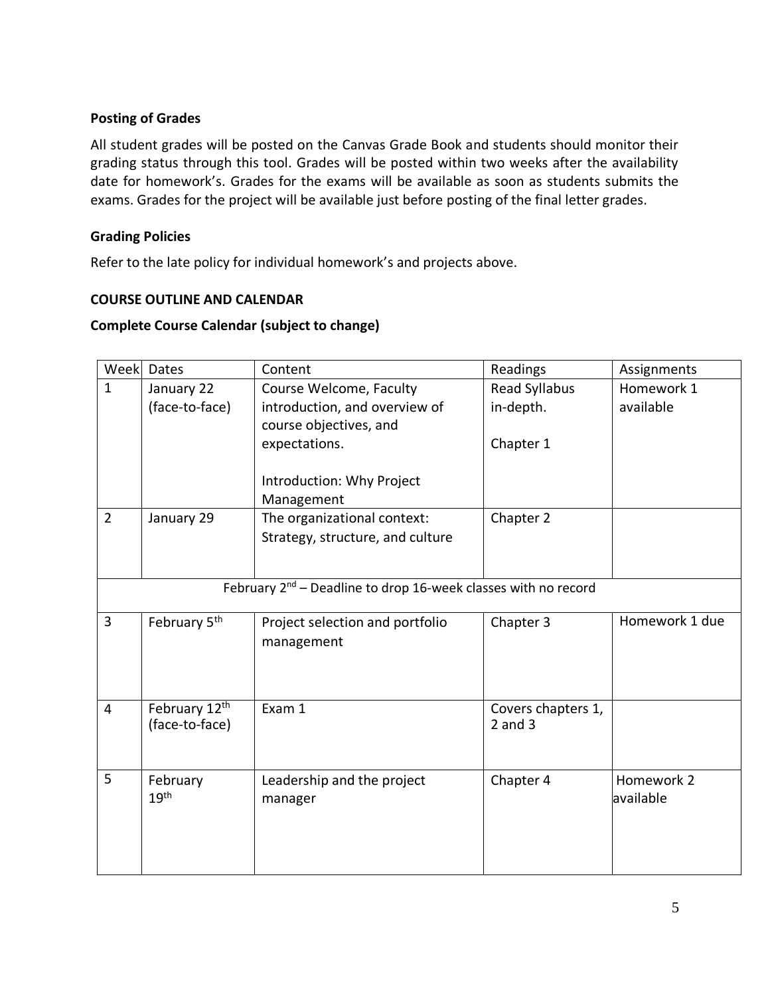### **Posting of Grades**

All student grades will be posted on the Canvas Grade Book and students should monitor their grading status through this tool. Grades will be posted within two weeks after the availability date for homework's. Grades for the exams will be available as soon as students submits the exams. Grades for the project will be available just before posting of the final letter grades.

#### **Grading Policies**

Refer to the late policy for individual homework's and projects above.

#### **COURSE OUTLINE AND CALENDAR**

### **Complete Course Calendar (subject to change)**

| Week                                                                | Dates                                       | Content                          | Readings                          | Assignments    |
|---------------------------------------------------------------------|---------------------------------------------|----------------------------------|-----------------------------------|----------------|
| $\mathbf{1}$                                                        | January 22                                  | Course Welcome, Faculty          | Read Syllabus                     | Homework 1     |
|                                                                     | (face-to-face)                              | introduction, and overview of    | in-depth.                         | available      |
|                                                                     |                                             | course objectives, and           |                                   |                |
|                                                                     |                                             | expectations.                    | Chapter 1                         |                |
|                                                                     |                                             |                                  |                                   |                |
|                                                                     |                                             | Introduction: Why Project        |                                   |                |
|                                                                     |                                             | Management                       |                                   |                |
| $\overline{2}$                                                      | January 29                                  | The organizational context:      | Chapter 2                         |                |
|                                                                     |                                             | Strategy, structure, and culture |                                   |                |
|                                                                     |                                             |                                  |                                   |                |
|                                                                     |                                             |                                  |                                   |                |
| February $2^{nd}$ – Deadline to drop 16-week classes with no record |                                             |                                  |                                   |                |
| 3                                                                   | February 5 <sup>th</sup>                    | Project selection and portfolio  | Chapter 3                         | Homework 1 due |
|                                                                     |                                             | management                       |                                   |                |
|                                                                     |                                             |                                  |                                   |                |
|                                                                     |                                             |                                  |                                   |                |
|                                                                     |                                             | Exam 1                           |                                   |                |
| $\overline{4}$                                                      | February 12 <sup>th</sup><br>(face-to-face) |                                  | Covers chapters 1,<br>$2$ and $3$ |                |
|                                                                     |                                             |                                  |                                   |                |
|                                                                     |                                             |                                  |                                   |                |
| 5                                                                   | February                                    | Leadership and the project       | Chapter 4                         | Homework 2     |
|                                                                     | 19 <sup>th</sup>                            | manager                          |                                   | available      |
|                                                                     |                                             |                                  |                                   |                |
|                                                                     |                                             |                                  |                                   |                |
|                                                                     |                                             |                                  |                                   |                |
|                                                                     |                                             |                                  |                                   |                |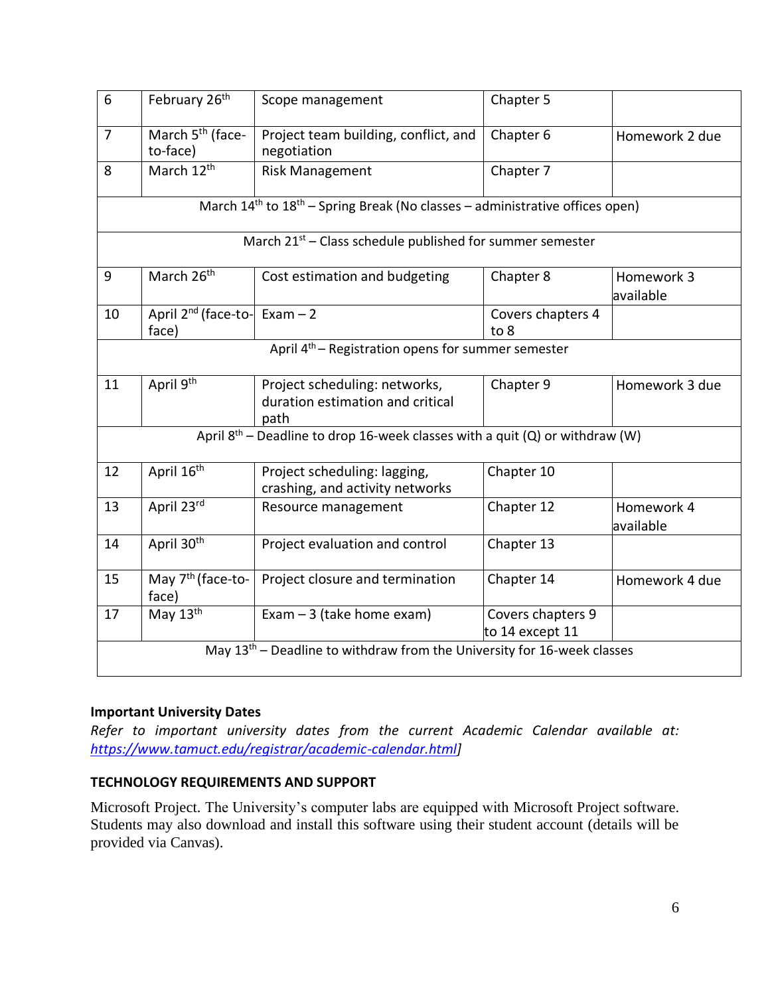| 6                                                                                 | February 26 <sup>th</sup>                                                              | Scope management                                                          | Chapter 5                            |                         |  |
|-----------------------------------------------------------------------------------|----------------------------------------------------------------------------------------|---------------------------------------------------------------------------|--------------------------------------|-------------------------|--|
| $\overline{7}$                                                                    | March 5 <sup>th</sup> (face-<br>to-face)                                               | Project team building, conflict, and<br>negotiation                       | Chapter 6                            | Homework 2 due          |  |
| 8                                                                                 | March 12 <sup>th</sup>                                                                 | <b>Risk Management</b>                                                    | Chapter 7                            |                         |  |
|                                                                                   | March $14^{th}$ to $18^{th}$ – Spring Break (No classes – administrative offices open) |                                                                           |                                      |                         |  |
| March 21 <sup>st</sup> – Class schedule published for summer semester             |                                                                                        |                                                                           |                                      |                         |  |
| 9                                                                                 | March 26 <sup>th</sup>                                                                 | Cost estimation and budgeting                                             | Chapter 8                            | Homework 3<br>available |  |
| 10                                                                                | April $2^{nd}$ (face-to- Exam - 2<br>face)                                             |                                                                           | Covers chapters 4<br>to 8            |                         |  |
| April 4 <sup>th</sup> – Registration opens for summer semester                    |                                                                                        |                                                                           |                                      |                         |  |
| 11                                                                                | April 9 <sup>th</sup>                                                                  | Project scheduling: networks,<br>duration estimation and critical<br>path | Chapter 9                            | Homework 3 due          |  |
| April $8^{th}$ – Deadline to drop 16-week classes with a quit (Q) or withdraw (W) |                                                                                        |                                                                           |                                      |                         |  |
| 12                                                                                | April 16 <sup>th</sup>                                                                 | Project scheduling: lagging,<br>crashing, and activity networks           | Chapter 10                           |                         |  |
| 13                                                                                | April 23rd                                                                             | Resource management                                                       | Chapter 12                           | Homework 4<br>available |  |
| 14                                                                                | April 30th                                                                             | Project evaluation and control                                            | Chapter 13                           |                         |  |
| 15                                                                                | May 7 <sup>th</sup> (face-to-<br>face)                                                 | Project closure and termination                                           | Chapter 14                           | Homework 4 due          |  |
| 17                                                                                | May 13th                                                                               | Exam $-3$ (take home exam)                                                | Covers chapters 9<br>to 14 except 11 |                         |  |
|                                                                                   | May $13th$ – Deadline to withdraw from the University for 16-week classes              |                                                                           |                                      |                         |  |

# **Important University Dates**

*Refer to important university dates from the current Academic Calendar available at: [https://www.tamuct.edu/registrar/academic-calendar.html\]](https://www.tamuct.edu/registrar/academic-calendar.html)*

#### **TECHNOLOGY REQUIREMENTS AND SUPPORT**

Microsoft Project. The University's computer labs are equipped with Microsoft Project software. Students may also download and install this software using their student account (details will be provided via Canvas).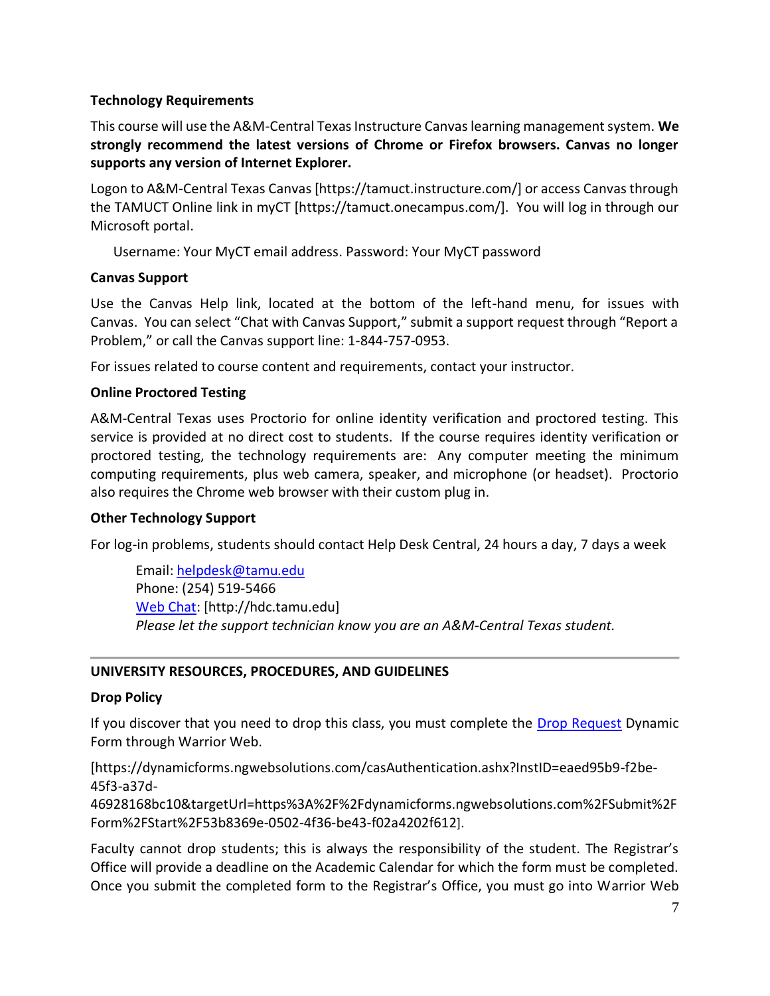### **Technology Requirements**

This course will use the A&M-Central Texas Instructure Canvas learning management system. **We strongly recommend the latest versions of Chrome or Firefox browsers. Canvas no longer supports any version of Internet Explorer.**

Logon to A&M-Central Texas Canvas [https://tamuct.instructure.com/] or access Canvas through the TAMUCT Online link in myCT [https://tamuct.onecampus.com/]. You will log in through our Microsoft portal.

Username: Your MyCT email address. Password: Your MyCT password

### **Canvas Support**

Use the Canvas Help link, located at the bottom of the left-hand menu, for issues with Canvas. You can select "Chat with Canvas Support," submit a support request through "Report a Problem," or call the Canvas support line: 1-844-757-0953.

For issues related to course content and requirements, contact your instructor.

### **Online Proctored Testing**

A&M-Central Texas uses Proctorio for online identity verification and proctored testing. This service is provided at no direct cost to students. If the course requires identity verification or proctored testing, the technology requirements are: Any computer meeting the minimum computing requirements, plus web camera, speaker, and microphone (or headset). Proctorio also requires the Chrome web browser with their custom plug in.

#### **Other Technology Support**

For log-in problems, students should contact Help Desk Central, 24 hours a day, 7 days a week

Email[: helpdesk@tamu.edu](mailto:helpdesk@tamu.edu) Phone: (254) 519-5466 [Web Chat:](http://hdc.tamu.edu/) [http://hdc.tamu.edu] *Please let the support technician know you are an A&M-Central Texas student.*

# **UNIVERSITY RESOURCES, PROCEDURES, AND GUIDELINES**

#### **Drop Policy**

If you discover that you need to drop this class, you must complete the [Drop Request](https://dynamicforms.ngwebsolutions.com/casAuthentication.ashx?InstID=eaed95b9-f2be-45f3-a37d-46928168bc10&targetUrl=https%3A%2F%2Fdynamicforms.ngwebsolutions.com%2FSubmit%2FForm%2FStart%2F53b8369e-0502-4f36-be43-f02a4202f612) Dynamic Form through Warrior Web.

[https://dynamicforms.ngwebsolutions.com/casAuthentication.ashx?InstID=eaed95b9-f2be-45f3-a37d-

46928168bc10&targetUrl=https%3A%2F%2Fdynamicforms.ngwebsolutions.com%2FSubmit%2F Form%2FStart%2F53b8369e-0502-4f36-be43-f02a4202f612].

Faculty cannot drop students; this is always the responsibility of the student. The Registrar's Office will provide a deadline on the Academic Calendar for which the form must be completed. Once you submit the completed form to the Registrar's Office, you must go into Warrior Web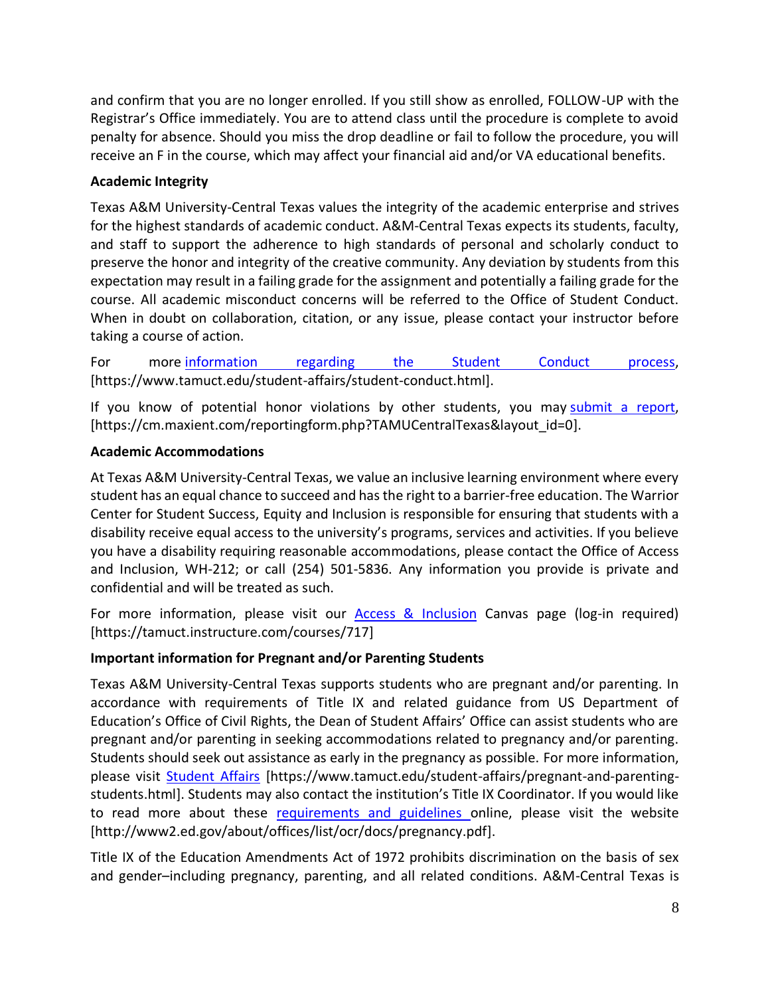and confirm that you are no longer enrolled. If you still show as enrolled, FOLLOW-UP with the Registrar's Office immediately. You are to attend class until the procedure is complete to avoid penalty for absence. Should you miss the drop deadline or fail to follow the procedure, you will receive an F in the course, which may affect your financial aid and/or VA educational benefits.

# **Academic Integrity**

Texas A&M University-Central Texas values the integrity of the academic enterprise and strives for the highest standards of academic conduct. A&M-Central Texas expects its students, faculty, and staff to support the adherence to high standards of personal and scholarly conduct to preserve the honor and integrity of the creative community. Any deviation by students from this expectation may result in a failing grade for the assignment and potentially a failing grade for the course. All academic misconduct concerns will be referred to the Office of Student Conduct. When in doubt on collaboration, citation, or any issue, please contact your instructor before taking a course of action.

For more [information](https://nam04.safelinks.protection.outlook.com/?url=https%3A%2F%2Fwww.tamuct.edu%2Fstudent-affairs%2Fstudent-conduct.html&data=04%7C01%7Clisa.bunkowski%40tamuct.edu%7Ccfb6e486f24745f53e1a08d910055cb2%7C9eed4e3000f744849ff193ad8005acec%7C0%7C0%7C637558437485252160%7CUnknown%7CTWFpbGZsb3d8eyJWIjoiMC4wLjAwMDAiLCJQIjoiV2luMzIiLCJBTiI6Ik1haWwiLCJXVCI6Mn0%3D%7C1000&sdata=yjftDEVHvLX%2FhM%2FcFU0B99krV1RgEWR%2BJ%2BhvtoR6TYk%3D&reserved=0) regarding the Student Conduct process, [https://www.tamuct.edu/student-affairs/student-conduct.html].

If you know of potential honor violations by other students, you may [submit](https://nam04.safelinks.protection.outlook.com/?url=https%3A%2F%2Fcm.maxient.com%2Freportingform.php%3FTAMUCentralTexas%26layout_id%3D0&data=04%7C01%7Clisa.bunkowski%40tamuct.edu%7Ccfb6e486f24745f53e1a08d910055cb2%7C9eed4e3000f744849ff193ad8005acec%7C0%7C0%7C637558437485262157%7CUnknown%7CTWFpbGZsb3d8eyJWIjoiMC4wLjAwMDAiLCJQIjoiV2luMzIiLCJBTiI6Ik1haWwiLCJXVCI6Mn0%3D%7C1000&sdata=CXGkOa6uPDPX1IMZ87z3aZDq2n91xfHKu4MMS43Ejjk%3D&reserved=0) a report, [https://cm.maxient.com/reportingform.php?TAMUCentralTexas&layout\_id=0].

# **Academic Accommodations**

At Texas A&M University-Central Texas, we value an inclusive learning environment where every student has an equal chance to succeed and has the right to a barrier-free education. The Warrior Center for Student Success, Equity and Inclusion is responsible for ensuring that students with a disability receive equal access to the university's programs, services and activities. If you believe you have a disability requiring reasonable accommodations, please contact the Office of Access and Inclusion, WH-212; or call (254) 501-5836. Any information you provide is private and confidential and will be treated as such.

For more information, please visit our [Access & Inclusion](https://tamuct.instructure.com/courses/717) Canvas page (log-in required) [https://tamuct.instructure.com/courses/717]

# **Important information for Pregnant and/or Parenting Students**

Texas A&M University-Central Texas supports students who are pregnant and/or parenting. In accordance with requirements of Title IX and related guidance from US Department of Education's Office of Civil Rights, the Dean of Student Affairs' Office can assist students who are pregnant and/or parenting in seeking accommodations related to pregnancy and/or parenting. Students should seek out assistance as early in the pregnancy as possible. For more information, please visit [Student Affairs](https://www.tamuct.edu/student-affairs/pregnant-and-parenting-students.html) [https://www.tamuct.edu/student-affairs/pregnant-and-parentingstudents.html]. Students may also contact the institution's Title IX Coordinator. If you would like to read more about these [requirements and guidelines](http://www2.ed.gov/about/offices/list/ocr/docs/pregnancy.pdf) online, please visit the website [http://www2.ed.gov/about/offices/list/ocr/docs/pregnancy.pdf].

Title IX of the Education Amendments Act of 1972 prohibits discrimination on the basis of sex and gender–including pregnancy, parenting, and all related conditions. A&M-Central Texas is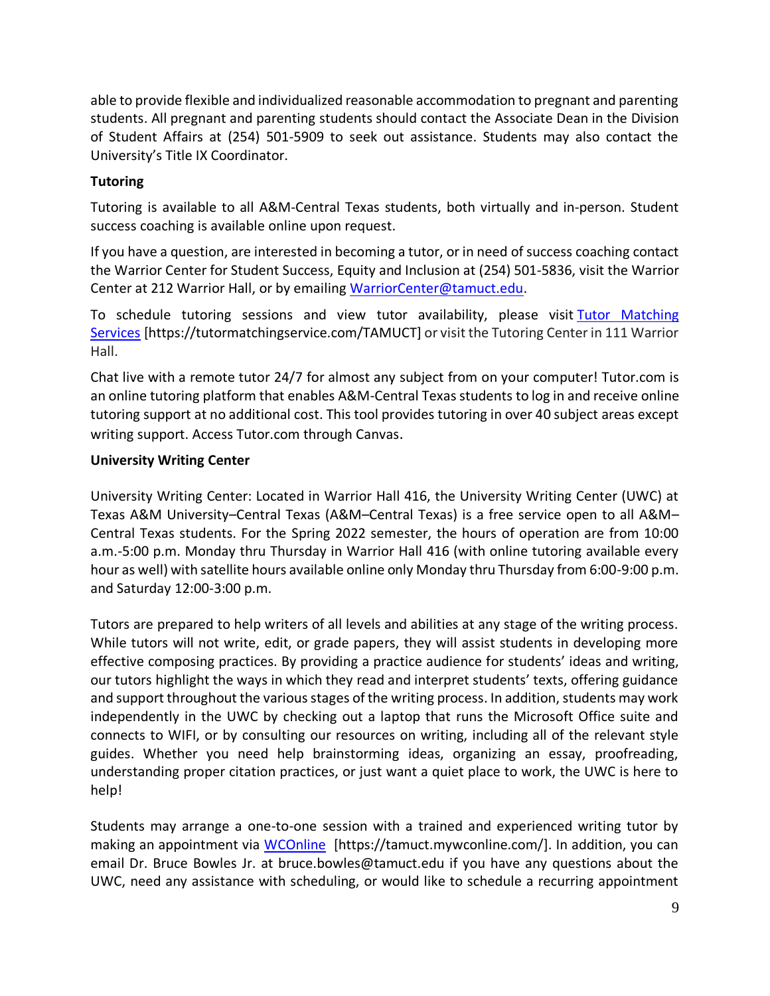able to provide flexible and individualized reasonable accommodation to pregnant and parenting students. All pregnant and parenting students should contact the Associate Dean in the Division of Student Affairs at (254) 501-5909 to seek out assistance. Students may also contact the University's Title IX Coordinator.

### **Tutoring**

Tutoring is available to all A&M-Central Texas students, both virtually and in-person. Student success coaching is available online upon request.

If you have a question, are interested in becoming a tutor, or in need of success coaching contact the Warrior Center for Student Success, Equity and Inclusion at (254) 501-5836, visit the Warrior Center at 212 Warrior Hall, or by emailing [WarriorCenter@tamuct.edu.](mailto:WarriorCenter@tamuct.edu)

To schedule tutoring sessions and view tutor availability, please visit Tutor [Matching](https://nam04.safelinks.protection.outlook.com/?url=http%3A%2F%2Fwww.tutormatchingservices.com%2FTAMUCT&data=04%7C01%7Clisa.bunkowski%40tamuct.edu%7C886784139069461670c308d9aa01f55e%7C9eed4e3000f744849ff193ad8005acec%7C0%7C0%7C637727747643427346%7CUnknown%7CTWFpbGZsb3d8eyJWIjoiMC4wLjAwMDAiLCJQIjoiV2luMzIiLCJBTiI6Ik1haWwiLCJXVCI6Mn0%3D%7C3000&sdata=D%2F8HN2bUT1lLPfs5qSqKYlwh8a7pZVy7isM2gppluQE%3D&reserved=0) [Services](https://nam04.safelinks.protection.outlook.com/?url=http%3A%2F%2Fwww.tutormatchingservices.com%2FTAMUCT&data=04%7C01%7Clisa.bunkowski%40tamuct.edu%7C886784139069461670c308d9aa01f55e%7C9eed4e3000f744849ff193ad8005acec%7C0%7C0%7C637727747643427346%7CUnknown%7CTWFpbGZsb3d8eyJWIjoiMC4wLjAwMDAiLCJQIjoiV2luMzIiLCJBTiI6Ik1haWwiLCJXVCI6Mn0%3D%7C3000&sdata=D%2F8HN2bUT1lLPfs5qSqKYlwh8a7pZVy7isM2gppluQE%3D&reserved=0) [https://tutormatchingservice.com/TAMUCT] or visit the Tutoring Center in 111 Warrior Hall.

Chat live with a remote tutor 24/7 for almost any subject from on your computer! Tutor.com is an online tutoring platform that enables A&M-Central Texas students to log in and receive online tutoring support at no additional cost. This tool provides tutoring in over 40 subject areas except writing support. Access Tutor.com through Canvas.

### **University Writing Center**

University Writing Center: Located in Warrior Hall 416, the University Writing Center (UWC) at Texas A&M University–Central Texas (A&M–Central Texas) is a free service open to all A&M– Central Texas students. For the Spring 2022 semester, the hours of operation are from 10:00 a.m.-5:00 p.m. Monday thru Thursday in Warrior Hall 416 (with online tutoring available every hour as well) with satellite hours available online only Monday thru Thursday from 6:00-9:00 p.m. and Saturday 12:00-3:00 p.m.

Tutors are prepared to help writers of all levels and abilities at any stage of the writing process. While tutors will not write, edit, or grade papers, they will assist students in developing more effective composing practices. By providing a practice audience for students' ideas and writing, our tutors highlight the ways in which they read and interpret students' texts, offering guidance and support throughout the various stages of the writing process. In addition, students may work independently in the UWC by checking out a laptop that runs the Microsoft Office suite and connects to WIFI, or by consulting our resources on writing, including all of the relevant style guides. Whether you need help brainstorming ideas, organizing an essay, proofreading, understanding proper citation practices, or just want a quiet place to work, the UWC is here to help!

Students may arrange a one-to-one session with a trained and experienced writing tutor by making an appointment via [WCOnline](https://tamuct.mywconline.com/) [https://tamuct.mywconline.com/]. In addition, you can email Dr. Bruce Bowles Jr. at bruce.bowles@tamuct.edu if you have any questions about the UWC, need any assistance with scheduling, or would like to schedule a recurring appointment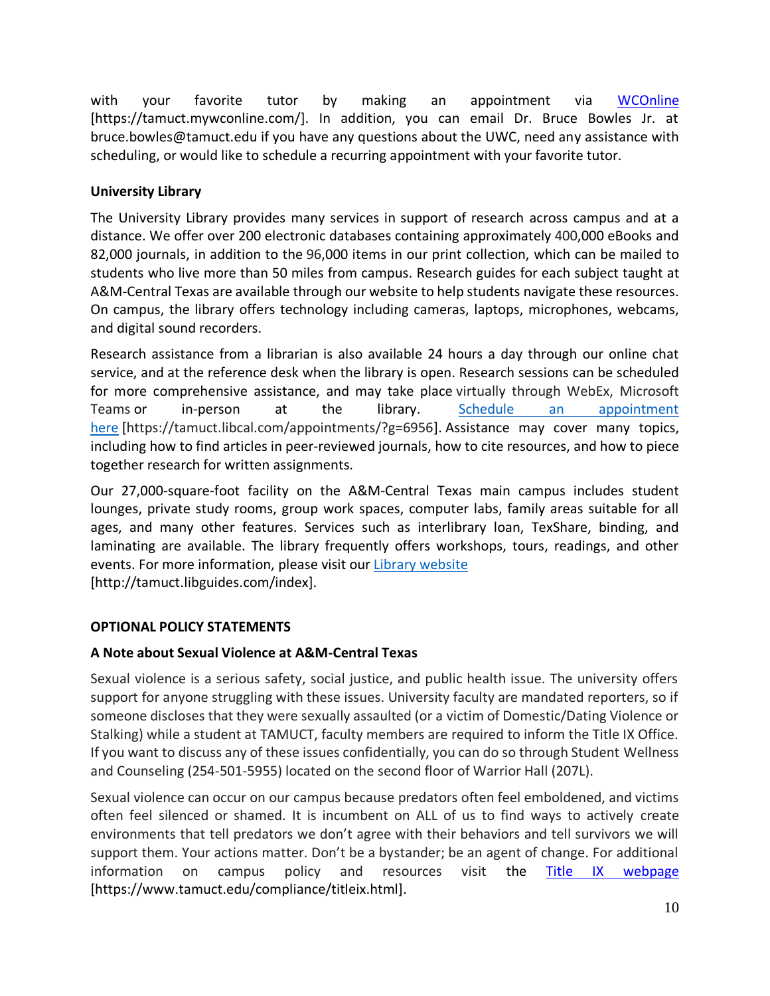with your favorite tutor by making an appointment via [WCOnline](https://tamuct.mywconline.com/) [https://tamuct.mywconline.com/]. In addition, you can email Dr. Bruce Bowles Jr. at bruce.bowles@tamuct.edu if you have any questions about the UWC, need any assistance with scheduling, or would like to schedule a recurring appointment with your favorite tutor.

# **University Library**

The University Library provides many services in support of research across campus and at a distance. We offer over 200 electronic databases containing approximately 400,000 eBooks and 82,000 journals, in addition to the 96,000 items in our print collection, which can be mailed to students who live more than 50 miles from campus. Research guides for each subject taught at A&M-Central Texas are available through our website to help students navigate these resources. On campus, the library offers technology including cameras, laptops, microphones, webcams, and digital sound recorders.

Research assistance from a librarian is also available 24 hours a day through our online chat service, and at the reference desk when the library is open. Research sessions can be scheduled for more comprehensive assistance, and may take place virtually through WebEx, Microsoft Teams or in-person at the library. Schedule an [appointment](https://nam04.safelinks.protection.outlook.com/?url=https%3A%2F%2Ftamuct.libcal.com%2Fappointments%2F%3Fg%3D6956&data=04%7C01%7Clisa.bunkowski%40tamuct.edu%7Cde2c07d9f5804f09518008d9ab7ba6ff%7C9eed4e3000f744849ff193ad8005acec%7C0%7C0%7C637729369835011558%7CUnknown%7CTWFpbGZsb3d8eyJWIjoiMC4wLjAwMDAiLCJQIjoiV2luMzIiLCJBTiI6Ik1haWwiLCJXVCI6Mn0%3D%7C3000&sdata=KhtjgRSAw9aq%2FoBsB6wyu8b7PSuGN5EGPypzr3Ty2No%3D&reserved=0) [here](https://nam04.safelinks.protection.outlook.com/?url=https%3A%2F%2Ftamuct.libcal.com%2Fappointments%2F%3Fg%3D6956&data=04%7C01%7Clisa.bunkowski%40tamuct.edu%7Cde2c07d9f5804f09518008d9ab7ba6ff%7C9eed4e3000f744849ff193ad8005acec%7C0%7C0%7C637729369835011558%7CUnknown%7CTWFpbGZsb3d8eyJWIjoiMC4wLjAwMDAiLCJQIjoiV2luMzIiLCJBTiI6Ik1haWwiLCJXVCI6Mn0%3D%7C3000&sdata=KhtjgRSAw9aq%2FoBsB6wyu8b7PSuGN5EGPypzr3Ty2No%3D&reserved=0) [https://tamuct.libcal.com/appointments/?g=6956]. Assistance may cover many topics, including how to find articles in peer-reviewed journals, how to cite resources, and how to piece together research for written assignments.

Our 27,000-square-foot facility on the A&M-Central Texas main campus includes student lounges, private study rooms, group work spaces, computer labs, family areas suitable for all ages, and many other features. Services such as interlibrary loan, TexShare, binding, and laminating are available. The library frequently offers workshops, tours, readings, and other events. For more information, please visit our Library [website](https://nam04.safelinks.protection.outlook.com/?url=https%3A%2F%2Ftamuct.libguides.com%2Findex&data=04%7C01%7Clisa.bunkowski%40tamuct.edu%7C7d8489e8839a4915335f08d916f067f2%7C9eed4e3000f744849ff193ad8005acec%7C0%7C0%7C637566044056484222%7CUnknown%7CTWFpbGZsb3d8eyJWIjoiMC4wLjAwMDAiLCJQIjoiV2luMzIiLCJBTiI6Ik1haWwiLCJXVCI6Mn0%3D%7C1000&sdata=2R755V6rcIyedGrd4Os5rkgn1PvhHKU3kUV1vBKiHFo%3D&reserved=0) [http://tamuct.libguides.com/index].

# **OPTIONAL POLICY STATEMENTS**

# **A Note about Sexual Violence at A&M-Central Texas**

Sexual violence is a serious safety, social justice, and public health issue. The university offers support for anyone struggling with these issues. University faculty are mandated reporters, so if someone discloses that they were sexually assaulted (or a victim of Domestic/Dating Violence or Stalking) while a student at TAMUCT, faculty members are required to inform the Title IX Office. If you want to discuss any of these issues confidentially, you can do so through Student Wellness and Counseling (254-501-5955) located on the second floor of Warrior Hall (207L).

Sexual violence can occur on our campus because predators often feel emboldened, and victims often feel silenced or shamed. It is incumbent on ALL of us to find ways to actively create environments that tell predators we don't agree with their behaviors and tell survivors we will support them. Your actions matter. Don't be a bystander; be an agent of change. For additional information on campus policy and resources visit the [Title IX webpage](https://www.tamuct.edu/compliance/titleix.html) [\[https://www.tamuct.edu/compliance/titleix.html\]](https://www.tamuct.edu/compliance/titleix.html).